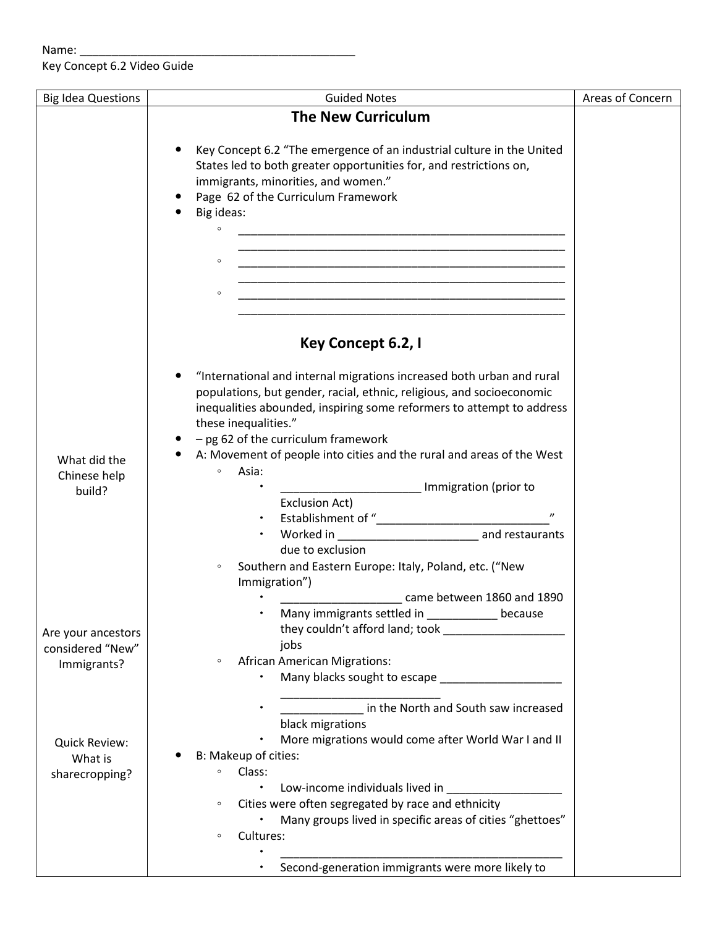Key Concept 6.2 Video Guide

| <b>Big Idea Questions</b> | <b>Guided Notes</b>                                                                                                              | Areas of Concern |
|---------------------------|----------------------------------------------------------------------------------------------------------------------------------|------------------|
|                           | <b>The New Curriculum</b>                                                                                                        |                  |
|                           |                                                                                                                                  |                  |
|                           | Key Concept 6.2 "The emergence of an industrial culture in the United                                                            |                  |
|                           | States led to both greater opportunities for, and restrictions on,                                                               |                  |
|                           | immigrants, minorities, and women."                                                                                              |                  |
|                           | Page 62 of the Curriculum Framework                                                                                              |                  |
|                           | Big ideas:                                                                                                                       |                  |
|                           | $\circ$<br><u> 1989 - Johann Stoff, deutscher Stoff, der Stoff, der Stoff, der Stoff, der Stoff, der Stoff, der Stoff, der S</u> |                  |
|                           |                                                                                                                                  |                  |
|                           | $\circ$                                                                                                                          |                  |
|                           |                                                                                                                                  |                  |
|                           | $\circ$                                                                                                                          |                  |
|                           |                                                                                                                                  |                  |
|                           |                                                                                                                                  |                  |
|                           | Key Concept 6.2, I                                                                                                               |                  |
|                           | "International and internal migrations increased both urban and rural                                                            |                  |
|                           | populations, but gender, racial, ethnic, religious, and socioeconomic                                                            |                  |
|                           | inequalities abounded, inspiring some reformers to attempt to address                                                            |                  |
|                           | these inequalities."                                                                                                             |                  |
|                           | $-$ pg 62 of the curriculum framework                                                                                            |                  |
| What did the              | A: Movement of people into cities and the rural and areas of the West                                                            |                  |
| Chinese help              | Asia:<br>$\circ$                                                                                                                 |                  |
| build?                    | Immigration (prior to                                                                                                            |                  |
|                           | Exclusion Act)                                                                                                                   |                  |
|                           |                                                                                                                                  |                  |
|                           |                                                                                                                                  |                  |
|                           | due to exclusion                                                                                                                 |                  |
|                           | Southern and Eastern Europe: Italy, Poland, etc. ("New<br>$\circ$<br>Immigration")                                               |                  |
|                           | came between 1860 and 1890                                                                                                       |                  |
|                           | Many immigrants settled in ___________ because                                                                                   |                  |
| Are your ancestors        | they couldn't afford land; took                                                                                                  |                  |
| considered "New"          | jobs                                                                                                                             |                  |
| Immigrants?               | <b>African American Migrations:</b><br>$\circ$                                                                                   |                  |
|                           | Many blacks sought to escape _______________                                                                                     |                  |
|                           |                                                                                                                                  |                  |
|                           | in the North and South saw increased                                                                                             |                  |
|                           | black migrations                                                                                                                 |                  |
| Quick Review:             | More migrations would come after World War I and II                                                                              |                  |
| What is                   | B: Makeup of cities:                                                                                                             |                  |
| sharecropping?            | Class:<br>$\circ$<br>$\bullet$                                                                                                   |                  |
|                           | Low-income individuals lived in                                                                                                  |                  |
|                           | Cities were often segregated by race and ethnicity<br>$\circ$<br>Many groups lived in specific areas of cities "ghettoes"        |                  |
|                           | Cultures:<br>$\circ$                                                                                                             |                  |
|                           |                                                                                                                                  |                  |
|                           | Second-generation immigrants were more likely to                                                                                 |                  |
|                           |                                                                                                                                  |                  |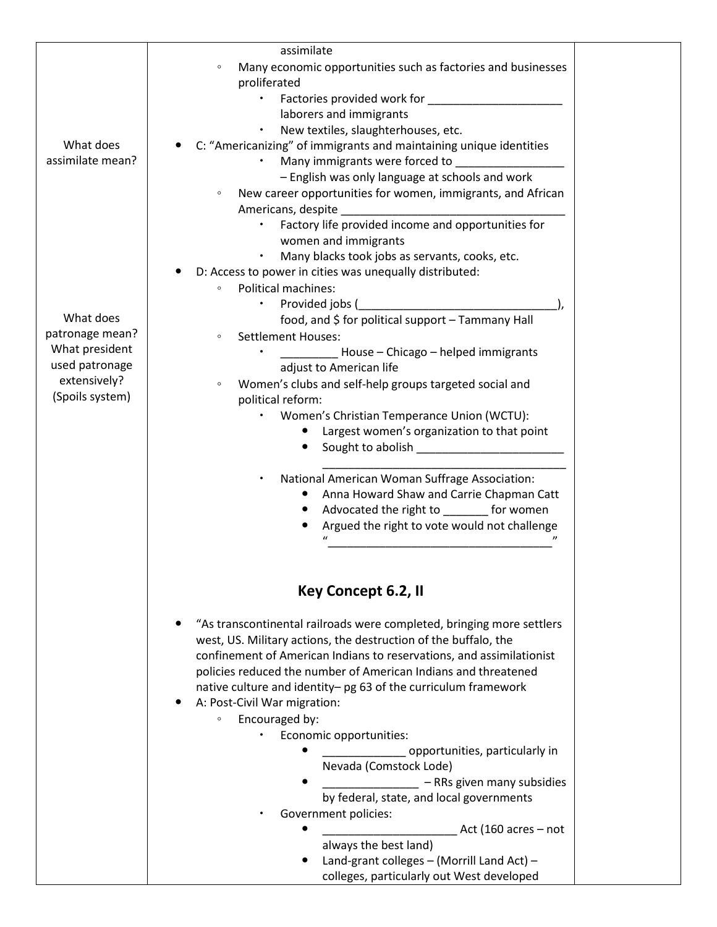|                  | assimilate                                                              |  |
|------------------|-------------------------------------------------------------------------|--|
|                  | Many economic opportunities such as factories and businesses<br>$\circ$ |  |
|                  | proliferated                                                            |  |
|                  | Factories provided work for                                             |  |
|                  | laborers and immigrants                                                 |  |
|                  | New textiles, slaughterhouses, etc.                                     |  |
| What does        | C: "Americanizing" of immigrants and maintaining unique identities      |  |
| assimilate mean? | Many immigrants were forced to                                          |  |
|                  |                                                                         |  |
|                  | - English was only language at schools and work                         |  |
|                  | New career opportunities for women, immigrants, and African<br>$\circ$  |  |
|                  | Americans, despite                                                      |  |
|                  | Factory life provided income and opportunities for                      |  |
|                  | women and immigrants                                                    |  |
|                  | Many blacks took jobs as servants, cooks, etc.                          |  |
|                  | D: Access to power in cities was unequally distributed:                 |  |
|                  | <b>Political machines:</b><br>$\circ$                                   |  |
|                  | Provided jobs (                                                         |  |
| What does        | food, and \$ for political support - Tammany Hall                       |  |
| patronage mean?  |                                                                         |  |
|                  | <b>Settlement Houses:</b><br>$\circ$                                    |  |
| What president   | House - Chicago - helped immigrants                                     |  |
| used patronage   | adjust to American life                                                 |  |
| extensively?     | Women's clubs and self-help groups targeted social and<br>$\circ$       |  |
| (Spoils system)  | political reform:                                                       |  |
|                  | Women's Christian Temperance Union (WCTU):                              |  |
|                  | Largest women's organization to that point                              |  |
|                  | Sought to abolish Sought to abolish                                     |  |
|                  |                                                                         |  |
|                  | National American Woman Suffrage Association:                           |  |
|                  |                                                                         |  |
|                  | Anna Howard Shaw and Carrie Chapman Catt                                |  |
|                  | Advocated the right to ________ for women                               |  |
|                  | Argued the right to vote would not challenge                            |  |
|                  |                                                                         |  |
|                  |                                                                         |  |
|                  |                                                                         |  |
|                  | Key Concept 6.2, II                                                     |  |
|                  |                                                                         |  |
|                  | "As transcontinental railroads were completed, bringing more settlers   |  |
|                  | west, US. Military actions, the destruction of the buffalo, the         |  |
|                  |                                                                         |  |
|                  | confinement of American Indians to reservations, and assimilationist    |  |
|                  | policies reduced the number of American Indians and threatened          |  |
|                  | native culture and identity- pg 63 of the curriculum framework          |  |
|                  | A: Post-Civil War migration:                                            |  |
|                  | Encouraged by:<br>$\circ$                                               |  |
|                  | Economic opportunities:                                                 |  |
|                  | opportunities, particularly in                                          |  |
|                  | Nevada (Comstock Lode)                                                  |  |
|                  | - RRs given many subsidies                                              |  |
|                  |                                                                         |  |
|                  | by federal, state, and local governments                                |  |
|                  | Government policies:                                                    |  |
|                  | Act (160 acres $-$ not                                                  |  |
|                  | always the best land)                                                   |  |
|                  | Land-grant colleges - (Morrill Land Act) -                              |  |
|                  | colleges, particularly out West developed                               |  |
|                  |                                                                         |  |